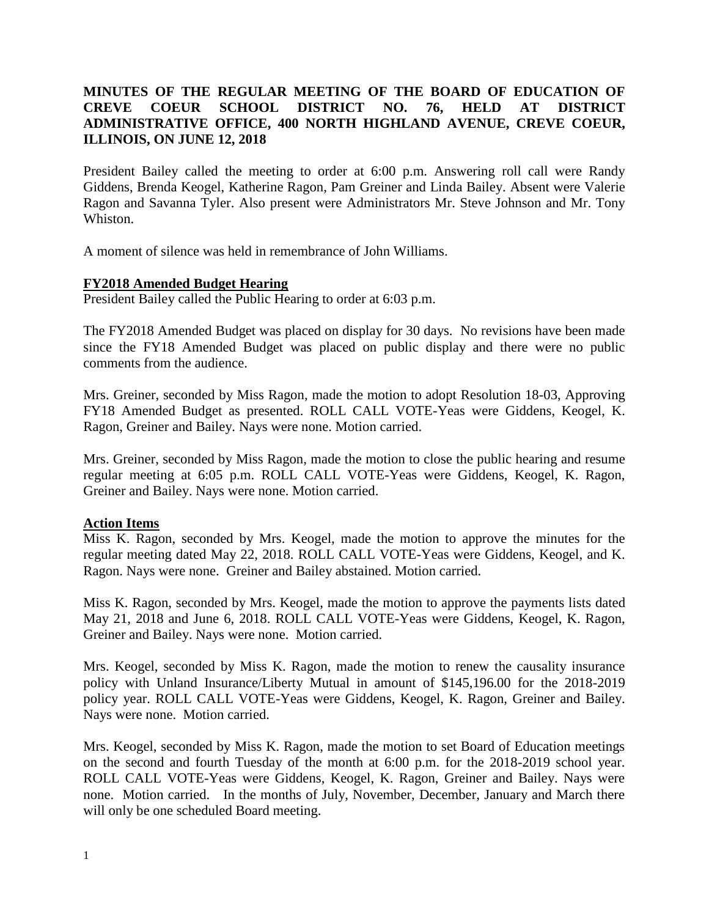# **MINUTES OF THE REGULAR MEETING OF THE BOARD OF EDUCATION OF CREVE COEUR SCHOOL DISTRICT NO. 76, HELD AT DISTRICT ADMINISTRATIVE OFFICE, 400 NORTH HIGHLAND AVENUE, CREVE COEUR, ILLINOIS, ON JUNE 12, 2018**

President Bailey called the meeting to order at 6:00 p.m. Answering roll call were Randy Giddens, Brenda Keogel, Katherine Ragon, Pam Greiner and Linda Bailey. Absent were Valerie Ragon and Savanna Tyler. Also present were Administrators Mr. Steve Johnson and Mr. Tony Whiston.

A moment of silence was held in remembrance of John Williams.

# **FY2018 Amended Budget Hearing**

President Bailey called the Public Hearing to order at 6:03 p.m.

The FY2018 Amended Budget was placed on display for 30 days. No revisions have been made since the FY18 Amended Budget was placed on public display and there were no public comments from the audience.

Mrs. Greiner, seconded by Miss Ragon, made the motion to adopt Resolution 18-03, Approving FY18 Amended Budget as presented. ROLL CALL VOTE-Yeas were Giddens, Keogel, K. Ragon, Greiner and Bailey. Nays were none. Motion carried.

Mrs. Greiner, seconded by Miss Ragon, made the motion to close the public hearing and resume regular meeting at 6:05 p.m. ROLL CALL VOTE-Yeas were Giddens, Keogel, K. Ragon, Greiner and Bailey. Nays were none. Motion carried.

# **Action Items**

Miss K. Ragon, seconded by Mrs. Keogel, made the motion to approve the minutes for the regular meeting dated May 22, 2018. ROLL CALL VOTE-Yeas were Giddens, Keogel, and K. Ragon. Nays were none. Greiner and Bailey abstained. Motion carried.

Miss K. Ragon, seconded by Mrs. Keogel, made the motion to approve the payments lists dated May 21, 2018 and June 6, 2018. ROLL CALL VOTE-Yeas were Giddens, Keogel, K. Ragon, Greiner and Bailey. Nays were none. Motion carried.

Mrs. Keogel, seconded by Miss K. Ragon, made the motion to renew the causality insurance policy with Unland Insurance/Liberty Mutual in amount of \$145,196.00 for the 2018-2019 policy year. ROLL CALL VOTE-Yeas were Giddens, Keogel, K. Ragon, Greiner and Bailey. Nays were none. Motion carried.

Mrs. Keogel, seconded by Miss K. Ragon, made the motion to set Board of Education meetings on the second and fourth Tuesday of the month at 6:00 p.m. for the 2018-2019 school year. ROLL CALL VOTE-Yeas were Giddens, Keogel, K. Ragon, Greiner and Bailey. Nays were none. Motion carried. In the months of July, November, December, January and March there will only be one scheduled Board meeting.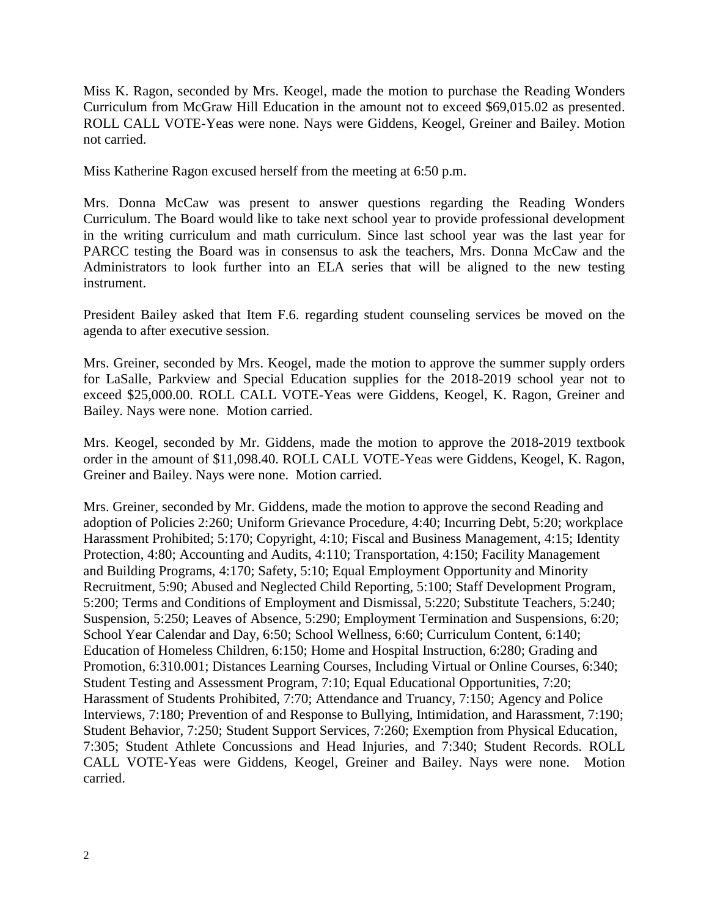Miss K. Ragon, seconded by Mrs. Keogel, made the motion to purchase the Reading Wonders Curriculum from McGraw Hill Education in the amount not to exceed \$69,015.02 as presented. ROLL CALL VOTE-Yeas were none. Nays were Giddens, Keogel, Greiner and Bailey. Motion not carried.

Miss Katherine Ragon excused herself from the meeting at 6:50 p.m.

Mrs. Donna McCaw was present to answer questions regarding the Reading Wonders Curriculum. The Board would like to take next school year to provide professional development in the writing curriculum and math curriculum. Since last school year was the last year for PARCC testing the Board was in consensus to ask the teachers, Mrs. Donna McCaw and the Administrators to look further into an ELA series that will be aligned to the new testing instrument.

President Bailey asked that Item F.6. regarding student counseling services be moved on the agenda to after executive session.

Mrs. Greiner, seconded by Mrs. Keogel, made the motion to approve the summer supply orders for LaSalle, Parkview and Special Education supplies for the 2018-2019 school year not to exceed \$25,000.00. ROLL CALL VOTE-Yeas were Giddens, Keogel, K. Ragon, Greiner and Bailey. Nays were none. Motion carried.

Mrs. Keogel, seconded by Mr. Giddens, made the motion to approve the 2018-2019 textbook order in the amount of \$11,098.40. ROLL CALL VOTE-Yeas were Giddens, Keogel, K. Ragon, Greiner and Bailey. Nays were none. Motion carried.

Mrs. Greiner, seconded by Mr. Giddens, made the motion to approve the second Reading and adoption of Policies 2:260; Uniform Grievance Procedure, 4:40; Incurring Debt, 5:20; workplace Harassment Prohibited; 5:170; Copyright, 4:10; Fiscal and Business Management, 4:15; Identity Protection, 4:80; Accounting and Audits, 4:110; Transportation, 4:150; Facility Management and Building Programs, 4:170; Safety, 5:10; Equal Employment Opportunity and Minority Recruitment, 5:90; Abused and Neglected Child Reporting, 5:100; Staff Development Program, 5:200; Terms and Conditions of Employment and Dismissal, 5:220; Substitute Teachers, 5:240; Suspension, 5:250; Leaves of Absence, 5:290; Employment Termination and Suspensions, 6:20; School Year Calendar and Day, 6:50; School Wellness, 6:60; Curriculum Content, 6:140; Education of Homeless Children, 6:150; Home and Hospital Instruction, 6:280; Grading and Promotion, 6:310.001; Distances Learning Courses, Including Virtual or Online Courses, 6:340; Student Testing and Assessment Program, 7:10; Equal Educational Opportunities, 7:20; Harassment of Students Prohibited, 7:70; Attendance and Truancy, 7:150; Agency and Police Interviews, 7:180; Prevention of and Response to Bullying, Intimidation, and Harassment, 7:190; Student Behavior, 7:250; Student Support Services, 7:260; Exemption from Physical Education, 7:305; Student Athlete Concussions and Head Injuries, and 7:340; Student Records. ROLL CALL VOTE-Yeas were Giddens, Keogel, Greiner and Bailey. Nays were none. Motion carried.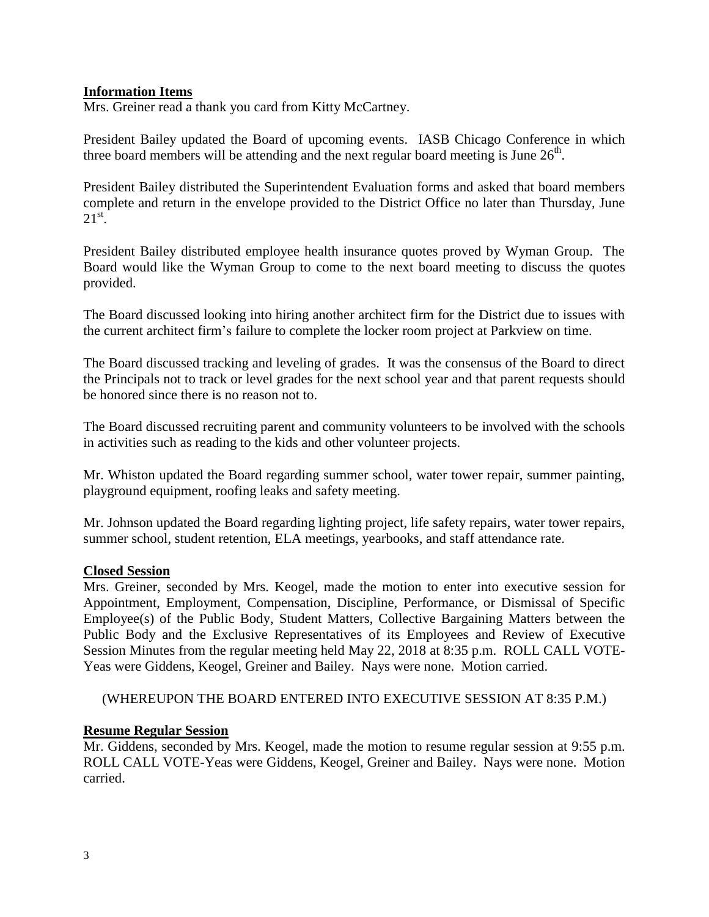# **Information Items**

Mrs. Greiner read a thank you card from Kitty McCartney.

President Bailey updated the Board of upcoming events. IASB Chicago Conference in which three board members will be attending and the next regular board meeting is June  $26<sup>th</sup>$ .

President Bailey distributed the Superintendent Evaluation forms and asked that board members complete and return in the envelope provided to the District Office no later than Thursday, June  $21^{\text{st}}$ .

President Bailey distributed employee health insurance quotes proved by Wyman Group. The Board would like the Wyman Group to come to the next board meeting to discuss the quotes provided.

The Board discussed looking into hiring another architect firm for the District due to issues with the current architect firm's failure to complete the locker room project at Parkview on time.

The Board discussed tracking and leveling of grades. It was the consensus of the Board to direct the Principals not to track or level grades for the next school year and that parent requests should be honored since there is no reason not to.

The Board discussed recruiting parent and community volunteers to be involved with the schools in activities such as reading to the kids and other volunteer projects.

Mr. Whiston updated the Board regarding summer school, water tower repair, summer painting, playground equipment, roofing leaks and safety meeting.

Mr. Johnson updated the Board regarding lighting project, life safety repairs, water tower repairs, summer school, student retention, ELA meetings, yearbooks, and staff attendance rate.

# **Closed Session**

Mrs. Greiner, seconded by Mrs. Keogel, made the motion to enter into executive session for Appointment, Employment, Compensation, Discipline, Performance, or Dismissal of Specific Employee(s) of the Public Body, Student Matters, Collective Bargaining Matters between the Public Body and the Exclusive Representatives of its Employees and Review of Executive Session Minutes from the regular meeting held May 22, 2018 at 8:35 p.m. ROLL CALL VOTE-Yeas were Giddens, Keogel, Greiner and Bailey. Nays were none. Motion carried.

# (WHEREUPON THE BOARD ENTERED INTO EXECUTIVE SESSION AT 8:35 P.M.)

# **Resume Regular Session**

Mr. Giddens, seconded by Mrs. Keogel, made the motion to resume regular session at 9:55 p.m. ROLL CALL VOTE-Yeas were Giddens, Keogel, Greiner and Bailey. Nays were none. Motion carried.